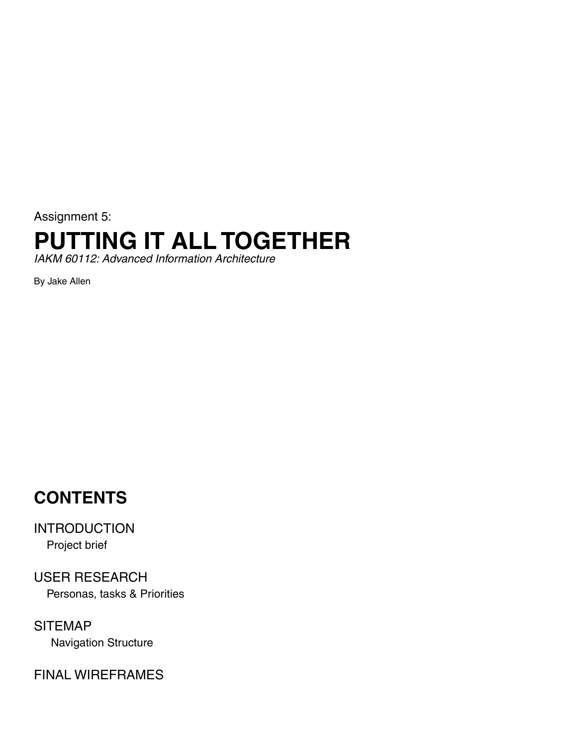Assignment 5:

# **PUTTING IT ALL TOGETHER**

*IAKM 60112: Advanced Information Architecture*

By Jake Allen

### **CONTENTS**

INTRODUCTION Project brief

USER RESEARCH Personas, tasks & Priorities

SITEMAP Navigation Structure

FINAL WIREFRAMES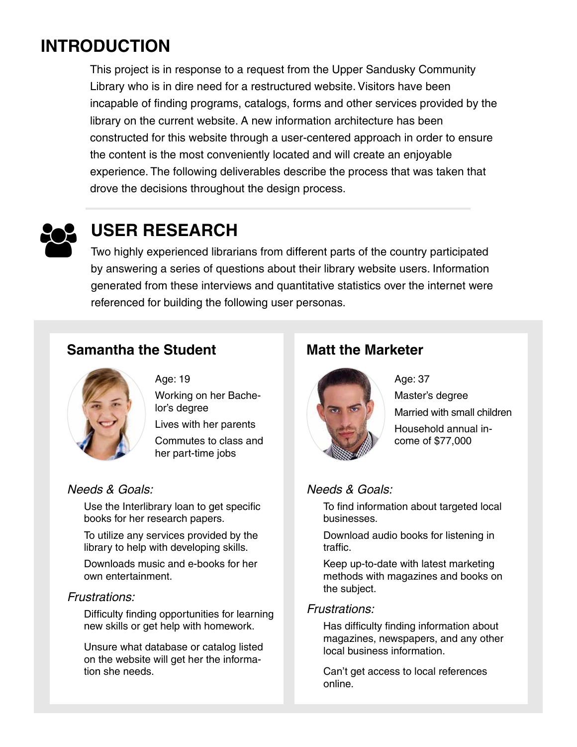### **INTRODUCTION**

This project is in response to a request from the Upper Sandusky Community Library who is in dire need for a restructured website. Visitors have been incapable of finding programs, catalogs, forms and other services provided by the library on the current website. A new information architecture has been constructed for this website through a user-centered approach in order to ensure the content is the most conveniently located and will create an enjoyable experience. The following deliverables describe the process that was taken that drove the decisions throughout the design process.



## **USER RESEARCH**

Two highly experienced librarians from different parts of the country participated by answering a series of questions about their library website users. Information generated from these interviews and quantitative statistics over the internet were referenced for building the following user personas.

#### **Samantha the Student Matt the Marketer**



### Age: 19

Working on her Bachelor's degree

Lives with her parents

Commutes to class and her part-time jobs

#### *Needs & Goals:*

Use the Interlibrary loan to get specific books for her research papers.

To utilize any services provided by the library to help with developing skills.

Downloads music and e-books for her own entertainment.

#### *Frustrations:*

Difficulty finding opportunities for learning new skills or get help with homework.

Unsure what database or catalog listed on the website will get her the information she needs.



Age: 37 Master's degree Married with small children Household annual income of \$77,000

#### *Needs & Goals:*

To find information about targeted local businesses.

Download audio books for listening in traffic.

Keep up-to-date with latest marketing methods with magazines and books on the subject.

#### *Frustrations:*

Has difficulty finding information about magazines, newspapers, and any other local business information.

Can't get access to local references online.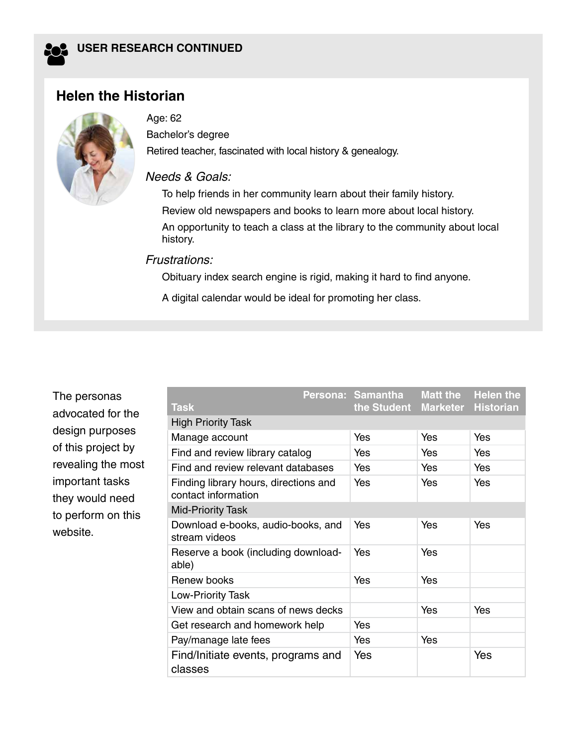

#### **Helen the Historian**



#### Age: 62

Bachelor's degree Retired teacher, fascinated with local history & genealogy.

#### *Needs & Goals:*

To help friends in her community learn about their family history. Review old newspapers and books to learn more about local history. An opportunity to teach a class at the library to the community about local history.

#### *Frustrations:*

Obituary index search engine is rigid, making it hard to find anyone.

A digital calendar would be ideal for promoting her class.

The personas advocated for the design purposes of this project by revealing the most important tasks they would need to perform on this website.

|                                                              |  | Persona: Samantha | <b>Matt the</b> | <b>Helen the</b> |
|--------------------------------------------------------------|--|-------------------|-----------------|------------------|
| <b>Task</b>                                                  |  | the Student       | <b>Marketer</b> | <b>Historian</b> |
| <b>High Priority Task</b>                                    |  |                   |                 |                  |
| Manage account                                               |  | Yes               | Yes             | Yes              |
| Find and review library catalog                              |  | Yes               | Yes             | Yes              |
| Find and review relevant databases                           |  | Yes               | Yes             | Yes              |
| Finding library hours, directions and<br>contact information |  | Yes               | Yes             | Yes              |
| <b>Mid-Priority Task</b>                                     |  |                   |                 |                  |
| Download e-books, audio-books, and<br>stream videos          |  | Yes               | Yes             | Yes              |
| Reserve a book (including download-<br>able)                 |  | Yes               | Yes             |                  |
| Renew books                                                  |  | Yes               | Yes             |                  |
| <b>Low-Priority Task</b>                                     |  |                   |                 |                  |
| View and obtain scans of news decks                          |  |                   | Yes             | Yes              |
| Get research and homework help                               |  | Yes               |                 |                  |
| Pay/manage late fees                                         |  | Yes               | Yes             |                  |
| Find/Initiate events, programs and<br>classes                |  | Yes               |                 | Yes              |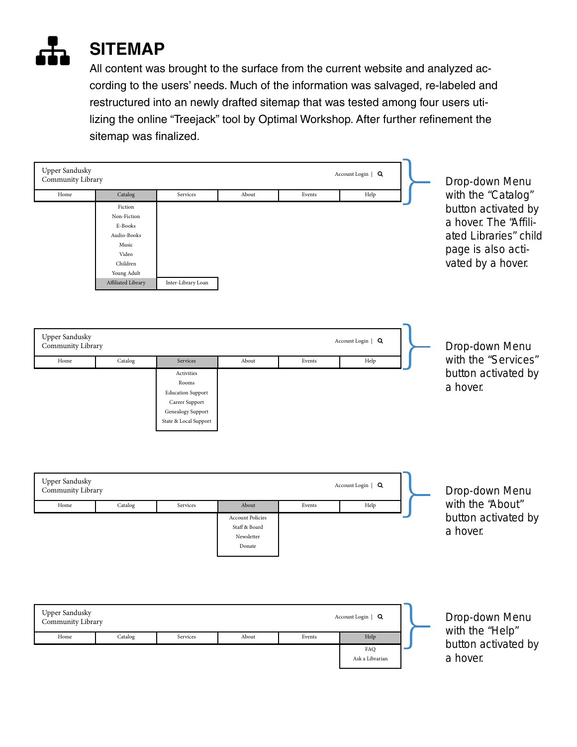

All content was brought to the surface from the current website and analyzed according to the users' needs. Much of the information was salvaged, re-labeled and restructured into an newly drafted sitemap that was tested among four users utilizing the online "Treejack" tool by Optimal Workshop. After further refinement the sitemap was finalized.

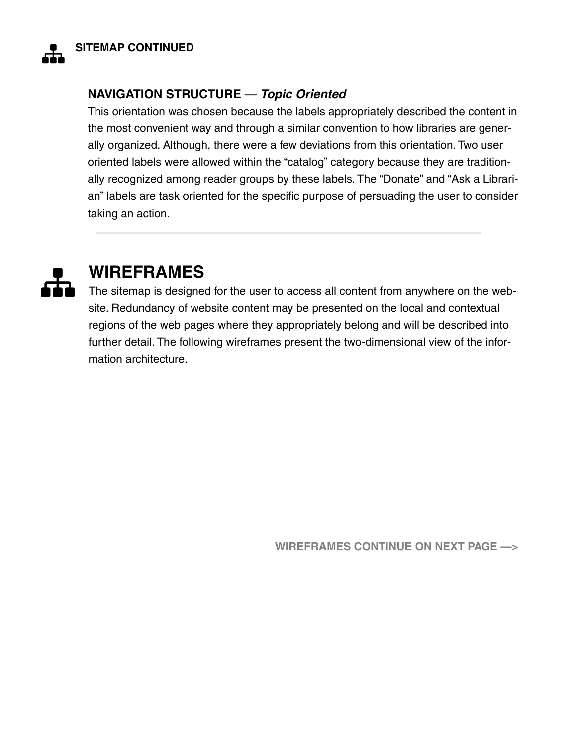

#### **NAVIGATION STRUCTURE** — *Topic Oriented*

This orientation was chosen because the labels appropriately described the content in the most convenient way and through a similar convention to how libraries are generally organized. Although, there were a few deviations from this orientation. Two user oriented labels were allowed within the "catalog" category because they are traditionally recognized among reader groups by these labels. The "Donate" and "Ask a Librarian" labels are task oriented for the specific purpose of persuading the user to consider taking an action.



### **WIREFRAMES**

The sitemap is designed for the user to access all content from anywhere on the website. Redundancy of website content may be presented on the local and contextual regions of the web pages where they appropriately belong and will be described into further detail. The following wireframes present the two-dimensional view of the information architecture.

**WIREFRAMES CONTINUE ON NEXT PAGE —>**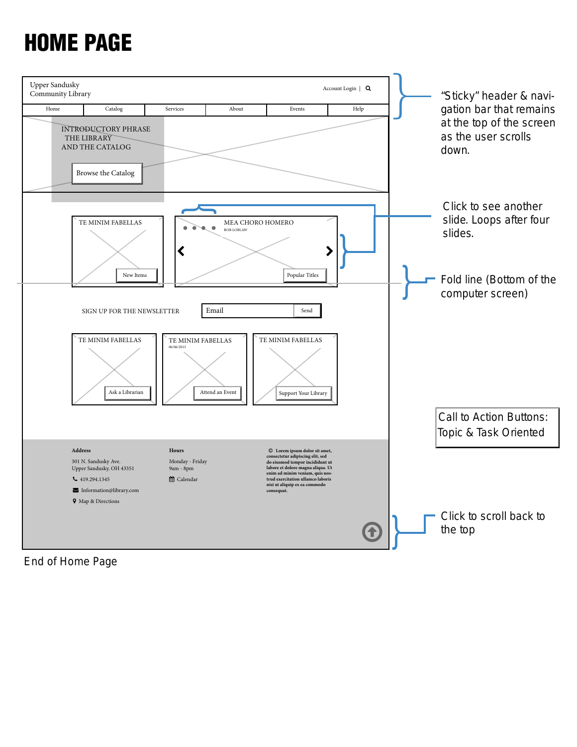# HOME PAGE



End of Home Page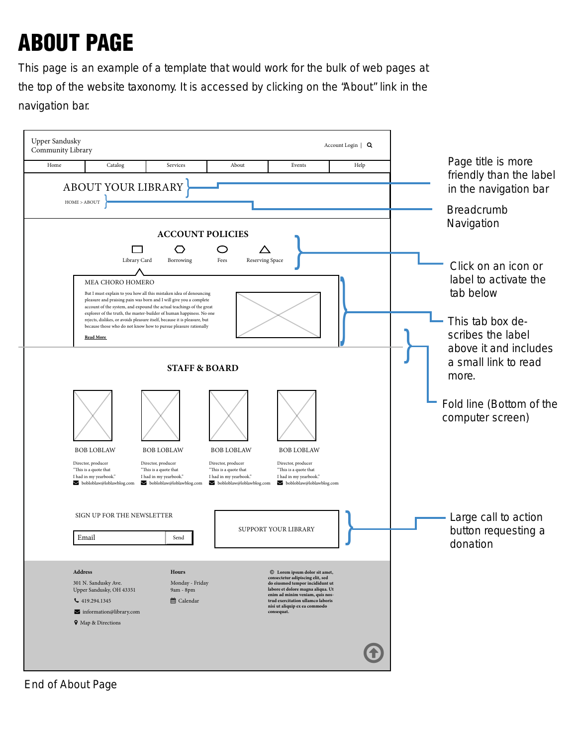# ABOUT PAGE

This page is an example of a template that would work for the bulk of web pages at the top of the website taxonomy. It is accessed by clicking on the "About" link in the navigation bar.



End of About Page